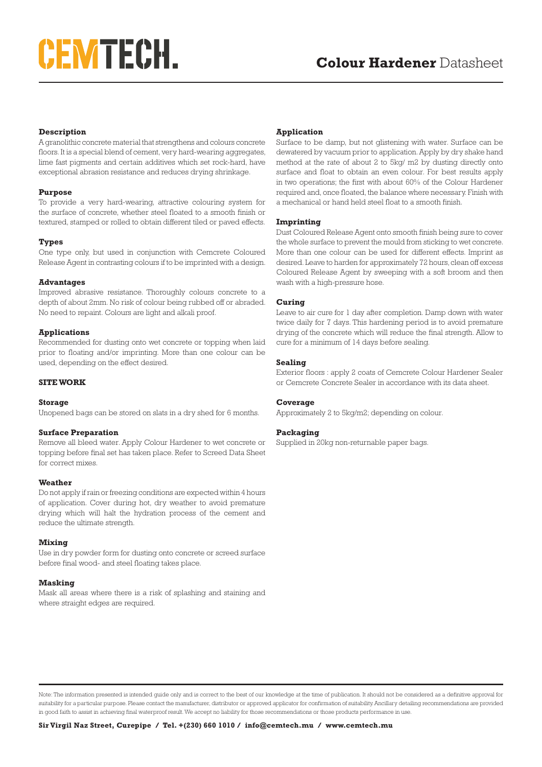# CEMTECH.

#### **Description**

A granolithic concrete material that strengthens and colours concrete floors. It is a special blend of cement, very hard-wearing aggregates, lime fast pigments and certain additives which set rock-hard, have exceptional abrasion resistance and reduces drying shrinkage.

#### **Purpose**

To provide a very hard-wearing, attractive colouring system for the surface of concrete, whether steel floated to a smooth finish or textured, stamped or rolled to obtain different tiled or paved effects.

#### **Types**

One type only, but used in conjunction with Cemcrete Coloured Release Agent in contrasting colours if to be imprinted with a design.

#### **Advantages**

Improved abrasive resistance. Thoroughly colours concrete to a depth of about 2mm. No risk of colour being rubbed off or abraded. No need to repaint. Colours are light and alkali proof.

#### **Applications**

Recommended for dusting onto wet concrete or topping when laid prior to floating and/or imprinting. More than one colour can be used, depending on the effect desired.

#### **SITE WORK**

#### **Storage**

Unopened bags can be stored on slats in a dry shed for 6 months.

#### **Surface Preparation**

Remove all bleed water. Apply Colour Hardener to wet concrete or topping before final set has taken place. Refer to Screed Data Sheet for correct mixes.

#### **Weather**

Do not apply if rain or freezing conditions are expected within 4 hours of application. Cover during hot, dry weather to avoid premature drying which will halt the hydration process of the cement and reduce the ultimate strength.

#### **Mixing**

Use in dry powder form for dusting onto concrete or screed surface before final wood- and steel floating takes place.

#### **Masking**

Mask all areas where there is a risk of splashing and staining and where straight edges are required.

#### **Application**

Surface to be damp, but not glistening with water. Surface can be dewatered by vacuum prior to application. Apply by dry shake hand method at the rate of about 2 to 5kg/ m2 by dusting directly onto surface and float to obtain an even colour. For best results apply in two operations; the first with about 60% of the Colour Hardener required and, once floated, the balance where necessary. Finish with a mechanical or hand held steel float to a smooth finish.

#### **Imprinting**

Dust Coloured Release Agent onto smooth finish being sure to cover the whole surface to prevent the mould from sticking to wet concrete. More than one colour can be used for different effects. Imprint as desired. Leave to harden for approximately 72 hours, clean off excess Coloured Release Agent by sweeping with a soft broom and then wash with a high-pressure hose.

#### **Curing**

Leave to air cure for 1 day after completion. Damp down with water twice daily for 7 days. This hardening period is to avoid premature drying of the concrete which will reduce the final strength. Allow to cure for a minimum of 14 days before sealing.

#### **Sealing**

Exterior floors : apply 2 coats of Cemcrete Colour Hardener Sealer or Cemcrete Concrete Sealer in accordance with its data sheet.

#### **Coverage**

Approximately 2 to 5kg/m2; depending on colour.

#### **Packaging**

Supplied in 20kg non-returnable paper bags.

Note: The information presented is intended guide only and is correct to the best of our knowledge at the time of publication. It should not be considered as a definitive approval for suitability for a particular purpose. Please contact the manufacturer, distributor or approved applicator for confirmation of suitability. Ancillary detailing recommendations are provided in good faith to assist in achieving final waterproof result. We accept no liability for those recommendations or those products performance in use.